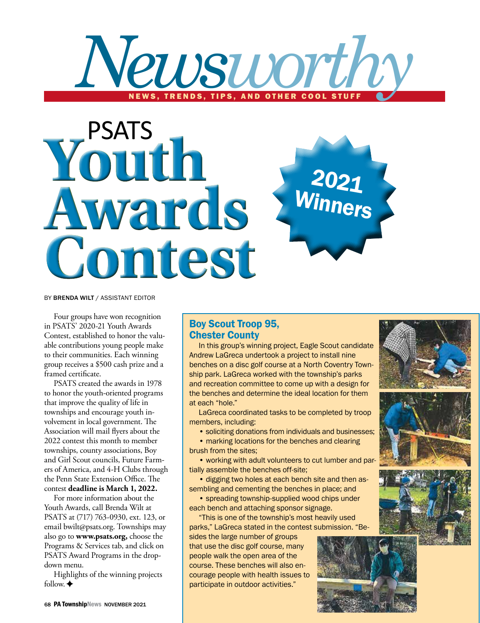



BY BRENDA WILT / ASSISTANT EDITOR

Four groups have won recognition in PSATS' 2020-21 Youth Awards Contest, established to honor the valuable contributions young people make to their communities. Each winning group receives a \$500 cash prize and a framed certificate.

PSATS created the awards in 1978 to honor the youth-oriented programs that improve the quality of life in townships and encourage youth involvement in local government. The Association will mail flyers about the 2022 contest this month to member townships, county associations, Boy and Girl Scout councils, Future Farmers of America, and 4-H Clubs through the Penn State Extension Office. The contest **deadline is March 1, 2022.**

For more information about the Youth Awards, call Brenda Wilt at PSATS at (717) 763-0930, ext. 123, or email bwilt@psats.org. Townships may also go to **www.psats.org,** choose the Programs & Services tab, and click on PSATS Award Programs in the dropdown menu.

Highlights of the winning projects follow.  $\triangleleft$ 

## Boy Scout Troop 95, Chester County

In this group's winning project, Eagle Scout candidate Andrew LaGreca undertook a project to install nine benches on a disc golf course at a North Coventry Township park. LaGreca worked with the township's parks and recreation committee to come up with a design for the benches and determine the ideal location for them at each "hole."

LaGreca coordinated tasks to be completed by troop members, including:

• soliciting donations from individuals and businesses;

• marking locations for the benches and clearing brush from the sites;

• working with adult volunteers to cut lumber and partially assemble the benches off-site;

• digging two holes at each bench site and then assembling and cementing the benches in place; and

• spreading township-supplied wood chips under each bench and attaching sponsor signage.

"This is one of the township's most heavily used parks," LaGreca stated in the contest submission. "Be-

sides the large number of groups that use the disc golf course, many people walk the open area of the course. These benches will also encourage people with health issues to participate in outdoor activities."







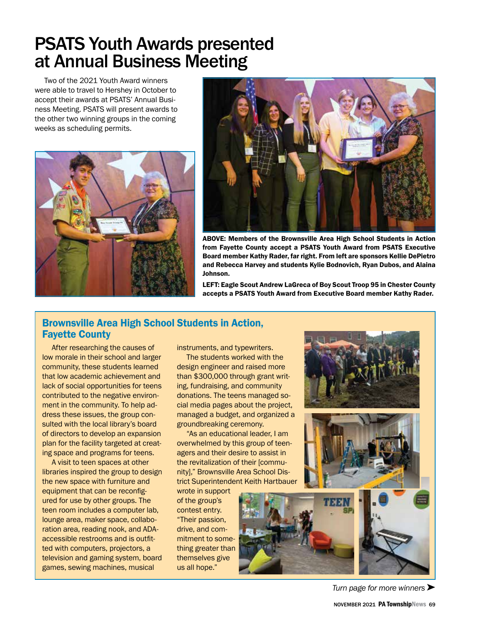## PSATS Youth Awards presented at Annual Business Meeting

Two of the 2021 Youth Award winners were able to travel to Hershey in October to accept their awards at PSATS' Annual Business Meeting. PSATS will present awards to the other two winning groups in the coming weeks as scheduling permits.





ABOVE: Members of the Brownsville Area High School Students in Action from Fayette County accept a PSATS Youth Award from PSATS Executive Board member Kathy Rader, far right. From left are sponsors Kellie DePietro and Rebecca Harvey and students Kylie Bodnovich, Ryan Dubos, and Alaina Johnson.

LEFT: Eagle Scout Andrew LaGreca of Boy Scout Troop 95 in Chester County accepts a PSATS Youth Award from Executive Board member Kathy Rader.

### Brownsville Area High School Students in Action, Fayette County

After researching the causes of low morale in their school and larger community, these students learned that low academic achievement and lack of social opportunities for teens contributed to the negative environment in the community. To help address these issues, the group consulted with the local library's board of directors to develop an expansion plan for the facility targeted at creating space and programs for teens.

A visit to teen spaces at other libraries inspired the group to design the new space with furniture and equipment that can be reconfigured for use by other groups. The teen room includes a computer lab, lounge area, maker space, collaboration area, reading nook, and ADAaccessible restrooms and is outfitted with computers, projectors, a television and gaming system, board games, sewing machines, musical

instruments, and typewriters.

The students worked with the design engineer and raised more than \$300,000 through grant writing, fundraising, and community donations. The teens managed social media pages about the project, managed a budget, and organized a groundbreaking ceremony.

"As an educational leader, I am overwhelmed by this group of teenagers and their desire to assist in the revitalization of their [community]," Brownsville Area School District Superintendent Keith Hartbauer

wrote in support of the group's contest entry. "Their passion, drive, and commitment to something greater than themselves give us all hope."



*Turn page for more winners*  $\blacktriangleright$